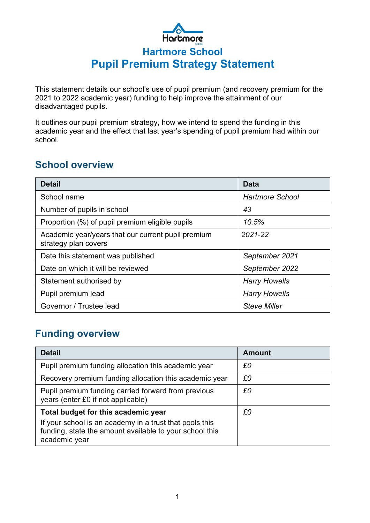# Hartmore **Hartmore School Pupil Premium Strategy Statement**

This statement details our school's use of pupil premium (and recovery premium for the 2021 to 2022 academic year) funding to help improve the attainment of our disadvantaged pupils.

It outlines our pupil premium strategy, how we intend to spend the funding in this academic year and the effect that last year's spending of pupil premium had within our school.

## **School overview**

| <b>Detail</b>                                                              | Data                   |
|----------------------------------------------------------------------------|------------------------|
| School name                                                                | <b>Hartmore School</b> |
| Number of pupils in school                                                 | 43                     |
| Proportion (%) of pupil premium eligible pupils                            | 10.5%                  |
| Academic year/years that our current pupil premium<br>strategy plan covers | 2021-22                |
| Date this statement was published                                          | September 2021         |
| Date on which it will be reviewed                                          | September 2022         |
| Statement authorised by                                                    | <b>Harry Howells</b>   |
| Pupil premium lead                                                         | <b>Harry Howells</b>   |
| Governor / Trustee lead                                                    | <b>Steve Miller</b>    |

## **Funding overview**

| <b>Detail</b>                                                                                                                                                              | <b>Amount</b> |
|----------------------------------------------------------------------------------------------------------------------------------------------------------------------------|---------------|
| Pupil premium funding allocation this academic year                                                                                                                        | £0            |
| Recovery premium funding allocation this academic year                                                                                                                     | £0            |
| Pupil premium funding carried forward from previous<br>years (enter £0 if not applicable)                                                                                  | £0            |
| Total budget for this academic year<br>If your school is an academy in a trust that pools this<br>funding, state the amount available to your school this<br>academic year | £0            |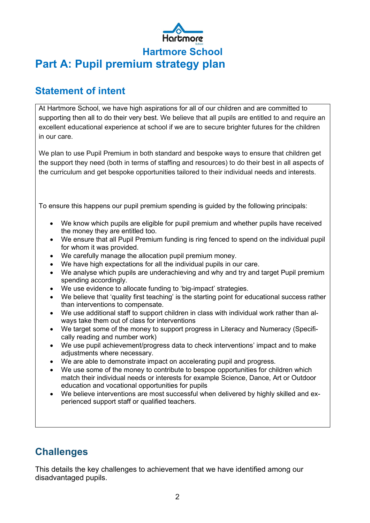

## **Statement of intent**

At Hartmore School, we have high aspirations for all of our children and are committed to supporting then all to do their very best. We believe that all pupils are entitled to and require an excellent educational experience at school if we are to secure brighter futures for the children in our care.

We plan to use Pupil Premium in both standard and bespoke ways to ensure that children get the support they need (both in terms of staffing and resources) to do their best in all aspects of the curriculum and get bespoke opportunities tailored to their individual needs and interests.

To ensure this happens our pupil premium spending is guided by the following principals:

- We know which pupils are eligible for pupil premium and whether pupils have received the money they are entitled too.
- We ensure that all Pupil Premium funding is ring fenced to spend on the individual pupil for whom it was provided.
- We carefully manage the allocation pupil premium money.
- We have high expectations for all the individual pupils in our care.
- We analyse which pupils are underachieving and why and try and target Pupil premium spending accordingly.
- We use evidence to allocate funding to 'big-impact' strategies.
- We believe that 'quality first teaching' is the starting point for educational success rather than interventions to compensate.
- We use additional staff to support children in class with individual work rather than always take them out of class for interventions
- We target some of the money to support progress in Literacy and Numeracy (Specifically reading and number work)
- We use pupil achievement/progress data to check interventions' impact and to make adjustments where necessary.
- We are able to demonstrate impact on accelerating pupil and progress.
- We use some of the money to contribute to bespoe opportunities for children which match their individual needs or interests for example Science, Dance, Art or Outdoor education and vocational opportunities for pupils
- We believe interventions are most successful when delivered by highly skilled and experienced support staff or qualified teachers.

## **Challenges**

This details the key challenges to achievement that we have identified among our disadvantaged pupils.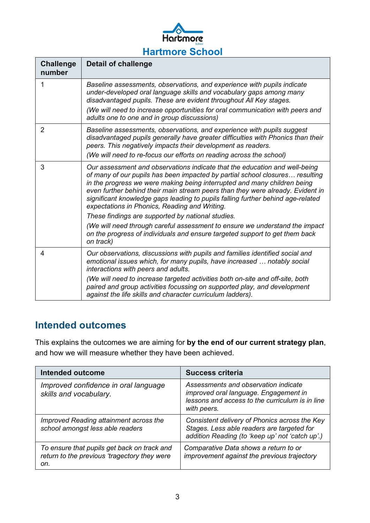

| <b>Challenge</b><br>number | <b>Detail of challenge</b>                                                                                                                                                                                                                                                                                                                                                                                                                                                                                        |
|----------------------------|-------------------------------------------------------------------------------------------------------------------------------------------------------------------------------------------------------------------------------------------------------------------------------------------------------------------------------------------------------------------------------------------------------------------------------------------------------------------------------------------------------------------|
| 1                          | Baseline assessments, observations, and experience with pupils indicate<br>under-developed oral language skills and vocabulary gaps among many<br>disadvantaged pupils. These are evident throughout All Key stages.<br>(We will need to increase opportunities for oral communication with peers and<br>adults one to one and in group discussions)                                                                                                                                                              |
| $\overline{2}$             | Baseline assessments, observations, and experience with pupils suggest<br>disadvantaged pupils generally have greater difficulties with Phonics than their<br>peers. This negatively impacts their development as readers.<br>(We will need to re-focus our efforts on reading across the school)                                                                                                                                                                                                                 |
| 3                          | Our assessment and observations indicate that the education and well-being<br>of many of our pupils has been impacted by partial school closures resulting<br>in the progress we were making being interrupted and many children being<br>even further behind their main stream peers than they were already. Evident in<br>significant knowledge gaps leading to pupils falling further behind age-related<br>expectations in Phonics, Reading and Writing.<br>These findings are supported by national studies. |
|                            | (We will need through careful assessment to ensure we understand the impact<br>on the progress of individuals and ensure targeted support to get them back<br>on track)                                                                                                                                                                                                                                                                                                                                           |
| 4                          | Our observations, discussions with pupils and families identified social and<br>emotional issues which, for many pupils, have increased  notably social<br>interactions with peers and adults.                                                                                                                                                                                                                                                                                                                    |
|                            | (We will need to increase targeted activities both on-site and off-site, both<br>paired and group activities focussing on supported play, and development<br>against the life skills and character curriculum ladders).                                                                                                                                                                                                                                                                                           |

## **Intended outcomes**

This explains the outcomes we are aiming for **by the end of our current strategy plan**, and how we will measure whether they have been achieved.

| <b>Intended outcome</b>                                                                            | <b>Success criteria</b>                                                                                                                         |
|----------------------------------------------------------------------------------------------------|-------------------------------------------------------------------------------------------------------------------------------------------------|
| Improved confidence in oral language<br>skills and vocabulary.                                     | Assessments and observation indicate<br>improved oral language. Engagement in<br>lessons and access to the curriculum is in line<br>with peers. |
| Improved Reading attainment across the<br>school amongst less able readers                         | Consistent delivery of Phonics across the Key<br>Stages. Less able readers are targeted for<br>addition Reading (to 'keep up' not 'catch up'.)  |
| To ensure that pupils get back on track and<br>return to the previous 'tragectory they were<br>on. | Comparative Data shows a return to or<br>improvement against the previous trajectory                                                            |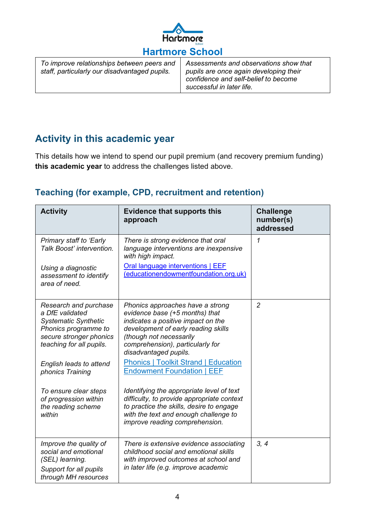

| To improve relationships between peers and    |
|-----------------------------------------------|
| staff, particularly our disadvantaged pupils. |

*Assessments and observations show that pupils are once again developing their confidence and self-belief to become successful in later life.*

## **Activity in this academic year**

This details how we intend to spend our pupil premium (and recovery premium funding) **this academic year** to address the challenges listed above.

#### **Teaching (for example, CPD, recruitment and retention)**

| <b>Activity</b>                                                                                                                                        | <b>Evidence that supports this</b><br>approach                                                                                                                                                                                          | <b>Challenge</b><br>number(s)<br>addressed |
|--------------------------------------------------------------------------------------------------------------------------------------------------------|-----------------------------------------------------------------------------------------------------------------------------------------------------------------------------------------------------------------------------------------|--------------------------------------------|
| Primary staff to 'Early<br>Talk Boost' intervention.                                                                                                   | There is strong evidence that oral<br>language interventions are inexpensive<br>with high impact.                                                                                                                                       | 1                                          |
| Using a diagnostic<br>assessment to identify<br>area of need.                                                                                          | <b>Oral language interventions   EEF</b><br>(educationendowmentfoundation.org.uk)                                                                                                                                                       |                                            |
| Research and purchase<br>a DfE validated<br><b>Systematic Synthetic</b><br>Phonics programme to<br>secure stronger phonics<br>teaching for all pupils. | Phonics approaches have a strong<br>evidence base (+5 months) that<br>indicates a positive impact on the<br>development of early reading skills<br>(though not necessarily<br>comprehension), particularly for<br>disadvantaged pupils. | $\overline{2}$                             |
| English leads to attend<br>phonics Training                                                                                                            | <b>Phonics   Toolkit Strand   Education</b><br><b>Endowment Foundation   EEF</b>                                                                                                                                                        |                                            |
| To ensure clear steps<br>of progression within<br>the reading scheme<br>within                                                                         | Identifying the appropriate level of text<br>difficulty, to provide appropriate context<br>to practice the skills, desire to engage<br>with the text and enough challenge to<br>improve reading comprehension.                          |                                            |
| Improve the quality of<br>social and emotional<br>(SEL) learning.<br>Support for all pupils<br>through MH resources                                    | There is extensive evidence associating<br>childhood social and emotional skills<br>with improved outcomes at school and<br>in later life (e.g. improve academic                                                                        | 3, 4                                       |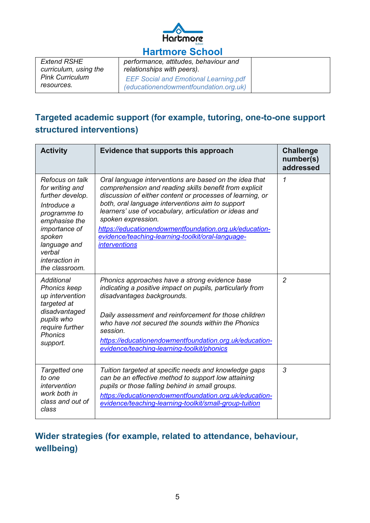

## **Hartmore School**

| <b>Extend RSHE</b><br>curriculum, using the | performance, attitudes, behaviour and<br>relationships with peers).                   |  |
|---------------------------------------------|---------------------------------------------------------------------------------------|--|
| <b>Pink Curriculum</b><br>resources.        | <b>EEF Social and Emotional Learning.pdf</b><br>(educationendowmentfoundation.org.uk) |  |

#### **Targeted academic support (for example, tutoring, one-to-one support structured interventions)**

| <b>Activity</b>                                                                                                                                                                                 | Evidence that supports this approach                                                                                                                                                                                                                                                                                                                                                                                                                     | <b>Challenge</b><br>number(s)<br>addressed |
|-------------------------------------------------------------------------------------------------------------------------------------------------------------------------------------------------|----------------------------------------------------------------------------------------------------------------------------------------------------------------------------------------------------------------------------------------------------------------------------------------------------------------------------------------------------------------------------------------------------------------------------------------------------------|--------------------------------------------|
| Refocus on talk<br>for writing and<br>further develop.<br>Introduce a<br>programme to<br>emphasise the<br>importance of<br>spoken<br>language and<br>verbal<br>interaction in<br>the classroom. | Oral language interventions are based on the idea that<br>comprehension and reading skills benefit from explicit<br>discussion of either content or processes of learning, or<br>both, oral language interventions aim to support<br>learners' use of vocabulary, articulation or ideas and<br>spoken expression.<br>https://educationendowmentfoundation.org.uk/education-<br>evidence/teaching-learning-toolkit/oral-language-<br><i>interventions</i> | 1                                          |
| Additional<br><b>Phonics keep</b><br>up intervention<br>targeted at<br>disadvantaged<br>pupils who<br>require further<br><b>Phonics</b><br>support.                                             | Phonics approaches have a strong evidence base<br>indicating a positive impact on pupils, particularly from<br>disadvantages backgrounds.<br>Daily assessment and reinforcement for those children<br>who have not secured the sounds within the Phonics<br>session.<br>https://educationendowmentfoundation.org.uk/education-<br>evidence/teaching-learning-toolkit/phonics                                                                             | $\overline{2}$                             |
| Targetted one<br>to one<br>intervention<br>work both in<br>class and out of<br>class                                                                                                            | Tuition targeted at specific needs and knowledge gaps<br>can be an effective method to support low attaining<br>pupils or those falling behind in small groups.<br>https://educationendowmentfoundation.org.uk/education-<br>evidence/teaching-learning-toolkit/small-group-tuition                                                                                                                                                                      | 3                                          |

## **Wider strategies (for example, related to attendance, behaviour, wellbeing)**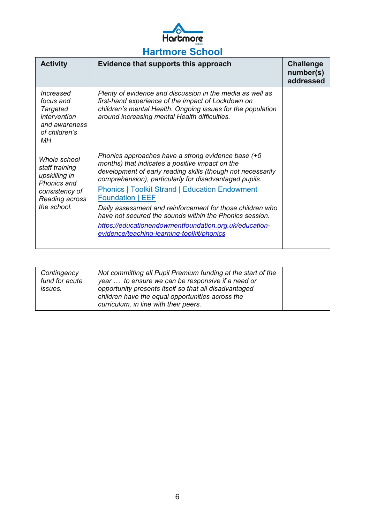

| <b>Activity</b>                                                                                                          | Evidence that supports this approach                                                                                                                                                                                                                                                                                                                                                                                                                                                                                                               | <b>Challenge</b><br>number(s)<br>addressed |
|--------------------------------------------------------------------------------------------------------------------------|----------------------------------------------------------------------------------------------------------------------------------------------------------------------------------------------------------------------------------------------------------------------------------------------------------------------------------------------------------------------------------------------------------------------------------------------------------------------------------------------------------------------------------------------------|--------------------------------------------|
| Increased<br>focus and<br><b>Targeted</b><br>intervention<br>and awareness<br>of children's<br>МH                        | Plenty of evidence and discussion in the media as well as<br>first-hand experience of the impact of Lockdown on<br>children's mental Health. Ongoing issues for the population<br>around increasing mental Health difficulties.                                                                                                                                                                                                                                                                                                                    |                                            |
| Whole school<br>staff training<br>upskilling in<br><b>Phonics and</b><br>consistency of<br>Reading across<br>the school. | Phonics approaches have a strong evidence base (+5<br>months) that indicates a positive impact on the<br>development of early reading skills (though not necessarily<br>comprehension), particularly for disadvantaged pupils.<br><b>Phonics   Toolkit Strand   Education Endowment</b><br><b>Foundation   EEF</b><br>Daily assessment and reinforcement for those children who<br>have not secured the sounds within the Phonics session.<br>https://educationendowmentfoundation.org.uk/education-<br>evidence/teaching-learning-toolkit/phonics |                                            |

| Contingency<br>fund for acute<br><i>issues.</i> | Not committing all Pupil Premium funding at the start of the<br>year  to ensure we can be responsive if a need or<br>opportunity presents itself so that all disadvantaged<br>children have the equal opportunities across the<br>curriculum, in line with their peers. |  |
|-------------------------------------------------|-------------------------------------------------------------------------------------------------------------------------------------------------------------------------------------------------------------------------------------------------------------------------|--|
|-------------------------------------------------|-------------------------------------------------------------------------------------------------------------------------------------------------------------------------------------------------------------------------------------------------------------------------|--|